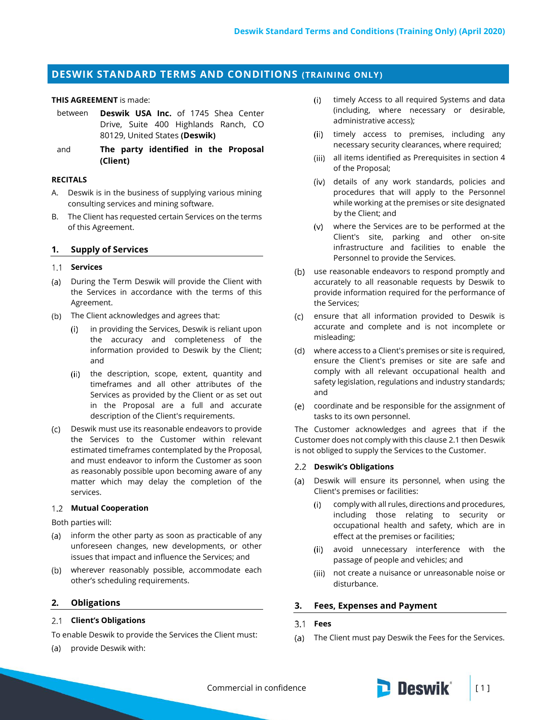# **DESWIK STANDARD TERMS AND CONDITIONS (TRAINING ONLY)**

#### **THIS AGREEMENT** is made:

- between **Deswik USA Inc.** of 1745 Shea Center Drive, Suite 400 Highlands Ranch, CO 80129, United States **(Deswik)**
- and **The party identified in the Proposal (Client)**

### **RECITALS**

- A. Deswik is in the business of supplying various mining consulting services and mining software.
- B. The Client has requested certain Services on the terms of this Agreement.

#### **1. Supply of Services**

#### 1.1 **Services**

- (a) During the Term Deswik will provide the Client with the Services in accordance with the terms of this Agreement.
- (b) The Client acknowledges and agrees that:
	- $(i)$ in providing the Services, Deswik is reliant upon the accuracy and completeness of the information provided to Deswik by the Client; and
	- (ii) the description, scope, extent, quantity and timeframes and all other attributes of the Services as provided by the Client or as set out in the Proposal are a full and accurate description of the Client's requirements.
- Deswik must use its reasonable endeavors to provide the Services to the Customer within relevant estimated timeframes contemplated by the Proposal, and must endeavor to inform the Customer as soon as reasonably possible upon becoming aware of any matter which may delay the completion of the services.

### **Mutual Cooperation**

Both parties will:

- (a) inform the other party as soon as practicable of any unforeseen changes, new developments, or other issues that impact and influence the Services; and
- wherever reasonably possible, accommodate each other's scheduling requirements.

### **2. Obligations**

### <span id="page-0-0"></span>**Client's Obligations**

To enable Deswik to provide the Services the Client must:

(a) provide Deswik with:

- $(i)$ timely Access to all required Systems and data (including, where necessary or desirable, administrative access);
- (ii) timely access to premises, including any necessary security clearances, where required;
- (iii) all items identified as Prerequisites in section 4 of the Proposal;
- details of any work standards, policies and procedures that will apply to the Personnel while working at the premises or site designated by the Client; and
- where the Services are to be performed at the Client's site, parking and other on-site infrastructure and facilities to enable the Personnel to provide the Services.
- (b) use reasonable endeavors to respond promptly and accurately to all reasonable requests by Deswik to provide information required for the performance of the Services;
- (c) ensure that all information provided to Deswik is accurate and complete and is not incomplete or misleading;
- where access to a Client's premises or site is required, ensure the Client's premises or site are safe and comply with all relevant occupational health and safety legislation, regulations and industry standards; and
- coordinate and be responsible for the assignment of tasks to its own personnel.

The Customer acknowledges and agrees that if the Customer does not comply with this claus[e 2.1](#page-0-0) then Deswik is not obliged to supply the Services to the Customer.

#### **Deswik's Obligations**

- (a) Deswik will ensure its personnel, when using the Client's premises or facilities:
	- comply with all rules, directions and procedures,  $(i)$ including those relating to security or occupational health and safety, which are in effect at the premises or facilities;
	- avoid unnecessary interference with the  $(iii)$ passage of people and vehicles; and
	- (iii) not create a nuisance or unreasonable noise or disturbance.

### **3. Fees, Expenses and Payment**

### **Fees**

(a) The Client must pay Deswik the Fees for the Services.



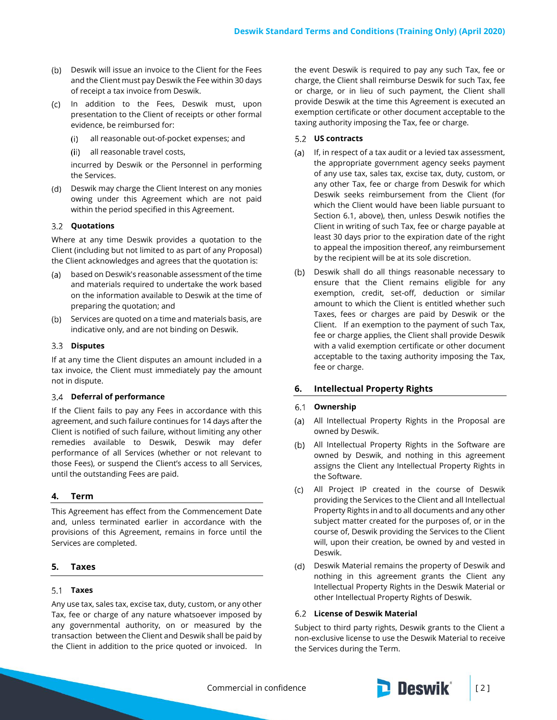- (b) Deswik will issue an invoice to the Client for the Fees and the Client must pay Deswik the Fee within 30 days of receipt a tax invoice from Deswik.
- (c) In addition to the Fees, Deswik must, upon presentation to the Client of receipts or other formal evidence, be reimbursed for:
	- all reasonable out-of-pocket expenses; and  $(i)$
	- all reasonable travel costs,

incurred by Deswik or the Personnel in performing the Services.

(d) Deswik may charge the Client Interest on any monies owing under this Agreement which are not paid within the period specified in this Agreement.

#### **Quotations**

Where at any time Deswik provides a quotation to the Client (including but not limited to as part of any Proposal) the Client acknowledges and agrees that the quotation is:

- based on Deswik's reasonable assessment of the time and materials required to undertake the work based on the information available to Deswik at the time of preparing the quotation; and
- (b) Services are quoted on a time and materials basis, are indicative only, and are not binding on Deswik.

#### **Disputes**

If at any time the Client disputes an amount included in a tax invoice, the Client must immediately pay the amount not in dispute.

### **Deferral of performance**

If the Client fails to pay any Fees in accordance with this agreement, and such failure continues for 14 days after the Client is notified of such failure, without limiting any other remedies available to Deswik, Deswik may defer performance of all Services (whether or not relevant to those Fees), or suspend the Client's access to all Services, until the outstanding Fees are paid.

### **4. Term**

This Agreement has effect from the Commencement Date and, unless terminated earlier in accordance with the provisions of this Agreement, remains in force until the Services are completed.

### **5. Taxes**

#### **Taxes**

Any use tax, sales tax, excise tax, duty, custom, or any other Tax, fee or charge of any nature whatsoever imposed by any governmental authority, on or measured by the transaction between the Client and Deswik shall be paid by the Client in addition to the price quoted or invoiced. In the event Deswik is required to pay any such Tax, fee or charge, the Client shall reimburse Deswik for such Tax, fee or charge, or in lieu of such payment, the Client shall provide Deswik at the time this Agreement is executed an exemption certificate or other document acceptable to the taxing authority imposing the Tax, fee or charge.

#### **US contracts**

- (a) If, in respect of a tax audit or a levied tax assessment, the appropriate government agency seeks payment of any use tax, sales tax, excise tax, duty, custom, or any other Tax, fee or charge from Deswik for which Deswik seeks reimbursement from the Client (for which the Client would have been liable pursuant to Section 6.1, above), then, unless Deswik notifies the Client in writing of such Tax, fee or charge payable at least 30 days prior to the expiration date of the right to appeal the imposition thereof, any reimbursement by the recipient will be at its sole discretion.
- (b) Deswik shall do all things reasonable necessary to ensure that the Client remains eligible for any exemption, credit, set-off, deduction or similar amount to which the Client is entitled whether such Taxes, fees or charges are paid by Deswik or the Client. If an exemption to the payment of such Tax, fee or charge applies, the Client shall provide Deswik with a valid exemption certificate or other document acceptable to the taxing authority imposing the Tax, fee or charge.

### **6. Intellectual Property Rights**

#### **Ownership**

- All Intellectual Property Rights in the Proposal are owned by Deswik.
- All Intellectual Property Rights in the Software are owned by Deswik, and nothing in this agreement assigns the Client any Intellectual Property Rights in the Software.
- All Project IP created in the course of Deswik providing the Services to the Client and all Intellectual Property Rights in and to all documents and any other subject matter created for the purposes of, or in the course of, Deswik providing the Services to the Client will, upon their creation, be owned by and vested in Deswik.
- (d) Deswik Material remains the property of Deswik and nothing in this agreement grants the Client any Intellectual Property Rights in the Deswik Material or other Intellectual Property Rights of Deswik.

### **License of Deswik Material**

Subject to third party rights, Deswik grants to the Client a non-exclusive license to use the Deswik Material to receive the Services during the Term.



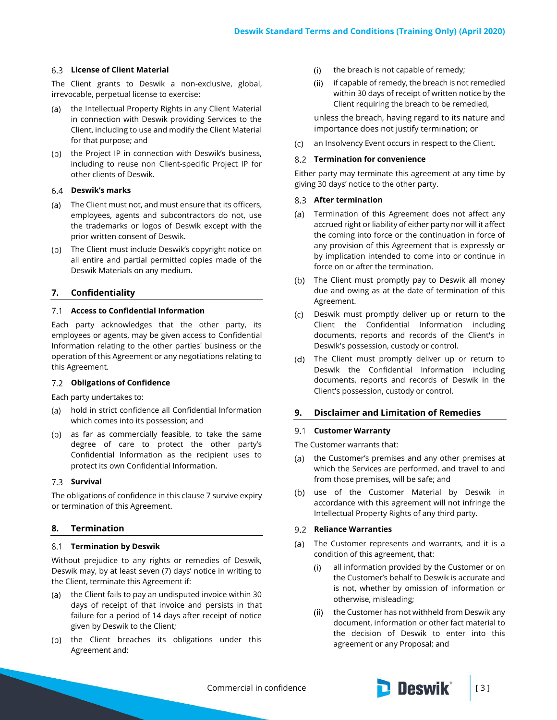## **License of Client Material**

The Client grants to Deswik a non-exclusive, global, irrevocable, perpetual license to exercise:

- (a) the Intellectual Property Rights in any Client Material in connection with Deswik providing Services to the Client, including to use and modify the Client Material for that purpose; and
- (b) the Project IP in connection with Deswik's business, including to reuse non Client-specific Project IP for other clients of Deswik.

#### **Deswik's marks**

- The Client must not, and must ensure that its officers, employees, agents and subcontractors do not, use the trademarks or logos of Deswik except with the prior written consent of Deswik.
- (b) The Client must include Deswik's copyright notice on all entire and partial permitted copies made of the Deswik Materials on any medium.

## <span id="page-2-0"></span>**7. Confidentiality**

### **Access to Confidential Information**

Each party acknowledges that the other party, its employees or agents, may be given access to Confidential Information relating to the other parties' business or the operation of this Agreement or any negotiations relating to this Agreement.

### **Obligations of Confidence**

Each party undertakes to:

- hold in strict confidence all Confidential Information which comes into its possession; and
- (b) as far as commercially feasible, to take the same degree of care to protect the other party's Confidential Information as the recipient uses to protect its own Confidential Information.

### **Survival**

The obligations of confidence in this claus[e 7](#page-2-0) survive expiry or termination of this Agreement.

### **8. Termination**

#### **Termination by Deswik**

Without prejudice to any rights or remedies of Deswik, Deswik may, by at least seven (7) days' notice in writing to the Client, terminate this Agreement if:

- (a) the Client fails to pay an undisputed invoice within 30 days of receipt of that invoice and persists in that failure for a period of 14 days after receipt of notice given by Deswik to the Client;
- (b) the Client breaches its obligations under this Agreement and:
- $(i)$ the breach is not capable of remedy;
- (ii) if capable of remedy, the breach is not remedied within 30 days of receipt of written notice by the Client requiring the breach to be remedied,

unless the breach, having regard to its nature and importance does not justify termination; or

 $(C)$ an Insolvency Event occurs in respect to the Client.

#### **Termination for convenience**

Either party may terminate this agreement at any time by giving 30 days' notice to the other party.

### **After termination**

- (a) Termination of this Agreement does not affect any accrued right or liability of either party nor will it affect the coming into force or the continuation in force of any provision of this Agreement that is expressly or by implication intended to come into or continue in force on or after the termination.
- (b) The Client must promptly pay to Deswik all money due and owing as at the date of termination of this Agreement.
- Deswik must promptly deliver up or return to the Client the Confidential Information including documents, reports and records of the Client's in Deswik's possession, custody or control.
- (d) The Client must promptly deliver up or return to Deswik the Confidential Information including documents, reports and records of Deswik in the Client's possession, custody or control.

### **9. Disclaimer and Limitation of Remedies**

#### **Customer Warranty**

The Customer warrants that:

- (a) the Customer's premises and any other premises at which the Services are performed, and travel to and from those premises, will be safe; and
- (b) use of the Customer Material by Deswik in accordance with this agreement will not infringe the Intellectual Property Rights of any third party.

### **Reliance Warranties**

- (a) The Customer represents and warrants, and it is a condition of this agreement, that:
	- $(i)$ all information provided by the Customer or on the Customer's behalf to Deswik is accurate and is not, whether by omission of information or otherwise, misleading;
	- the Customer has not withheld from Deswik any  $(ii)$ document, information or other fact material to the decision of Deswik to enter into this agreement or any Proposal; and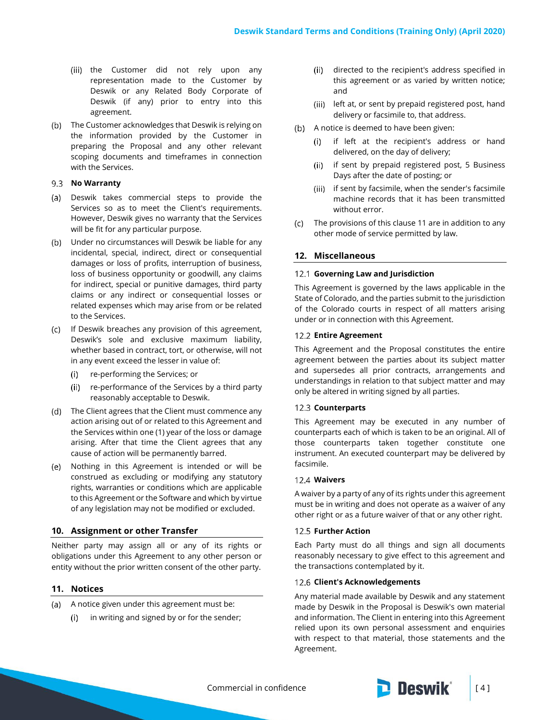- (iii) the Customer did not rely upon any representation made to the Customer by Deswik or any Related Body Corporate of Deswik (if any) prior to entry into this agreement.
- (b) The Customer acknowledges that Deswik is relying on the information provided by the Customer in preparing the Proposal and any other relevant scoping documents and timeframes in connection with the Services.

#### **No Warranty**

- Deswik takes commercial steps to provide the Services so as to meet the Client's requirements. However, Deswik gives no warranty that the Services will be fit for any particular purpose.
- Under no circumstances will Deswik be liable for any incidental, special, indirect, direct or consequential damages or loss of profits, interruption of business, loss of business opportunity or goodwill, any claims for indirect, special or punitive damages, third party claims or any indirect or consequential losses or related expenses which may arise from or be related to the Services.
- (c) If Deswik breaches any provision of this agreement, Deswik's sole and exclusive maximum liability, whether based in contract, tort, or otherwise, will not in any event exceed the lesser in value of:
	- re-performing the Services; or  $(i)$
	- (ii) re-performance of the Services by a third party reasonably acceptable to Deswik.
- (d) The Client agrees that the Client must commence any action arising out of or related to this Agreement and the Services within one (1) year of the loss or damage arising. After that time the Client agrees that any cause of action will be permanently barred.
- (e) Nothing in this Agreement is intended or will be construed as excluding or modifying any statutory rights, warranties or conditions which are applicable to this Agreement or the Software and which by virtue of any legislation may not be modified or excluded.

### **10. Assignment or other Transfer**

Neither party may assign all or any of its rights or obligations under this Agreement to any other person or entity without the prior written consent of the other party.

### <span id="page-3-0"></span>**11. Notices**

- (a) A notice given under this agreement must be:
	- in writing and signed by or for the sender;  $(i)$
- (ii) directed to the recipient's address specified in this agreement or as varied by written notice; and
- (iii) left at, or sent by prepaid registered post, hand delivery or facsimile to, that address.
- (b) A notice is deemed to have been given:
	- $(i)$ if left at the recipient's address or hand delivered, on the day of delivery;
	- (ii) if sent by prepaid registered post, 5 Business Days after the date of posting; or
	- (iii) if sent by facsimile, when the sender's facsimile machine records that it has been transmitted without error.
- The provisions of this clause [11](#page-3-0) are in addition to any other mode of service permitted by law.

## **12. Miscellaneous**

### **Governing Law and Jurisdiction**

This Agreement is governed by the laws applicable in the State of Colorado, and the parties submit to the jurisdiction of the Colorado courts in respect of all matters arising under or in connection with this Agreement.

#### **Entire Agreement**

This Agreement and the Proposal constitutes the entire agreement between the parties about its subject matter and supersedes all prior contracts, arrangements and understandings in relation to that subject matter and may only be altered in writing signed by all parties.

### 12.3 **Counterparts**

This Agreement may be executed in any number of counterparts each of which is taken to be an original. All of those counterparts taken together constitute one instrument. An executed counterpart may be delivered by facsimile.

#### **Waivers**

A waiver by a party of any of its rights under this agreement must be in writing and does not operate as a waiver of any other right or as a future waiver of that or any other right.

#### **12.5 Further Action**

Each Party must do all things and sign all documents reasonably necessary to give effect to this agreement and the transactions contemplated by it.

#### **Client's Acknowledgements**

Any material made available by Deswik and any statement made by Deswik in the Proposal is Deswik's own material and information. The Client in entering into this Agreement relied upon its own personal assessment and enquiries with respect to that material, those statements and the Agreement.



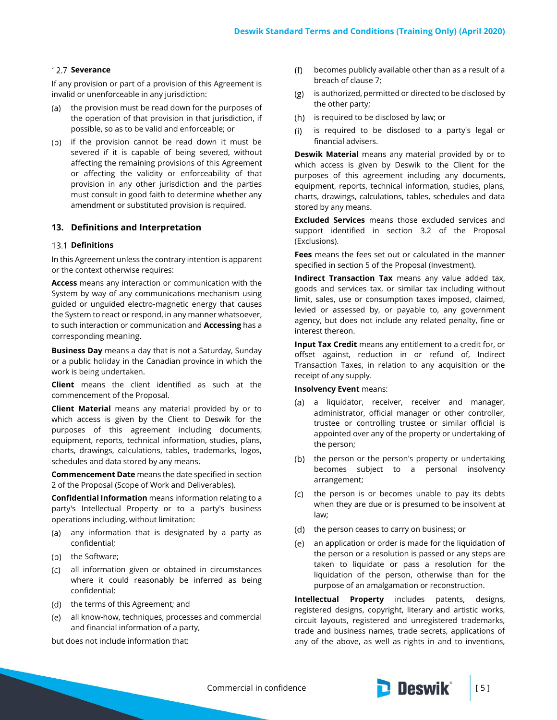### 12.7 Severance

If any provision or part of a provision of this Agreement is invalid or unenforceable in any jurisdiction:

- (a) the provision must be read down for the purposes of the operation of that provision in that jurisdiction, if possible, so as to be valid and enforceable; or
- (b) if the provision cannot be read down it must be severed if it is capable of being severed, without affecting the remaining provisions of this Agreement or affecting the validity or enforceability of that provision in any other jurisdiction and the parties must consult in good faith to determine whether any amendment or substituted provision is required.

#### **13. Definitions and Interpretation**

#### 13.1 Definitions

In this Agreement unless the contrary intention is apparent or the context otherwise requires:

**Access** means any interaction or communication with the System by way of any communications mechanism using guided or unguided electro-magnetic energy that causes the System to react or respond, in any manner whatsoever, to such interaction or communication and **Accessing** has a corresponding meaning.

**Business Day** means a day that is not a Saturday, Sunday or a public holiday in the Canadian province in which the work is being undertaken.

**Client** means the client identified as such at the commencement of the Proposal.

**Client Material** means any material provided by or to which access is given by the Client to Deswik for the purposes of this agreement including documents, equipment, reports, technical information, studies, plans, charts, drawings, calculations, tables, trademarks, logos, schedules and data stored by any means.

**Commencement Date** means the date specified in section 2 of the Proposal (Scope of Work and Deliverables).

**Confidential Information** means information relating to a party's Intellectual Property or to a party's business operations including, without limitation:

- (a) any information that is designated by a party as confidential;
- (b) the Software;
- all information given or obtained in circumstances where it could reasonably be inferred as being confidential;
- (d) the terms of this Agreement; and
- all know-how, techniques, processes and commercial and financial information of a party,

but does not include information that:

- $(f)$ becomes publicly available other than as a result of a breach of claus[e 7;](#page-2-0)
- $(g)$ is authorized, permitted or directed to be disclosed by the other party;
- (h) is required to be disclosed by law; or
- is required to be disclosed to a party's legal or  $(i)$ financial advisers.

**Deswik Material** means any material provided by or to which access is given by Deswik to the Client for the purposes of this agreement including any documents, equipment, reports, technical information, studies, plans, charts, drawings, calculations, tables, schedules and data stored by any means.

**Excluded Services** means those excluded services and support identified in section 3.2 of the Proposal (Exclusions).

**Fees** means the fees set out or calculated in the manner specified in section 5 of the Proposal (Investment).

**Indirect Transaction Tax** means any value added tax, goods and services tax, or similar tax including without limit, sales, use or consumption taxes imposed, claimed, levied or assessed by, or payable to, any government agency, but does not include any related penalty, fine or interest thereon.

**Input Tax Credit** means any entitlement to a credit for, or offset against, reduction in or refund of, Indirect Transaction Taxes, in relation to any acquisition or the receipt of any supply.

### **Insolvency Event** means:

- (a) a liquidator, receiver, receiver and manager, administrator, official manager or other controller, trustee or controlling trustee or similar official is appointed over any of the property or undertaking of the person;
- (b) the person or the person's property or undertaking becomes subject to a personal insolvency arrangement;
- $(c)$ the person is or becomes unable to pay its debts when they are due or is presumed to be insolvent at law;
- the person ceases to carry on business; or  $(d)$
- an application or order is made for the liquidation of  $(e)$ the person or a resolution is passed or any steps are taken to liquidate or pass a resolution for the liquidation of the person, otherwise than for the purpose of an amalgamation or reconstruction.

**Intellectual Property** includes patents, designs, registered designs, copyright, literary and artistic works, circuit layouts, registered and unregistered trademarks, trade and business names, trade secrets, applications of any of the above, as well as rights in and to inventions,